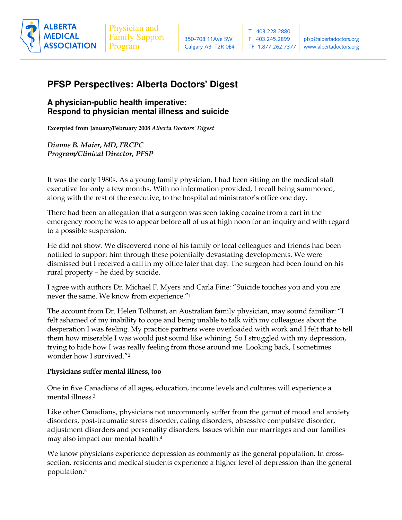

# **PFSP Perspectives: Alberta Doctors' Digest**

## **A physician-public health imperative: Respond to physician mental illness and suicide**

Excerpted from January/February 2008 Alb*erta Doctors' Digest* 

Dianne B. Maier, MD, FRCPC Program/Clinical Director, PFSP

It was the early 1980s. As a young family physician, I had been sitting on the medical staff executive for only a few months. With no information provided, I recall being summoned, along with the rest of the executive, to the hospital administrator's office one day.

There had been an allegation that a surgeon was seen taking cocaine from a cart in the emergency room; he was to appear before all of us at high noon for an inquiry and with regard to a possible suspension.

He did not show. We discovered none of his family or local colleagues and friends had been notified to support him through these potentially devastating developments. We were dismissed but I received a call in my office later that day. The surgeon had been found on his rural property – he died by suicide.

I agree with authors Dr. Michael F. Myers and Carla Fine: "Suicide touches you and you are never the same. We know from experience."1

The account from Dr. Helen Tolhurst, an Australian family physician, may sound familiar: "I felt ashamed of my inability to cope and being unable to talk with my colleagues about the desperation I was feeling. My practice partners were overloaded with work and I felt that to tell them how miserable I was would just sound like whining. So I struggled with my depression, trying to hide how I was really feeling from those around me. Looking back, I sometimes wonder how I survived."2

### Physicians suffer mental illness, too

One in five Canadians of all ages, education, income levels and cultures will experience a mental illness. $^3$ 

Like other Canadians, physicians not uncommonly suffer from the gamut of mood and anxiety disorders, post-traumatic stress disorder, eating disorders, obsessive compulsive disorder, adjustment disorders and personality disorders. Issues within our marriages and our families may also impact our mental health.<sup>4</sup>

We know physicians experience depression as commonly as the general population. In crosssection, residents and medical students experience a higher level of depression than the general population.<sup>5</sup>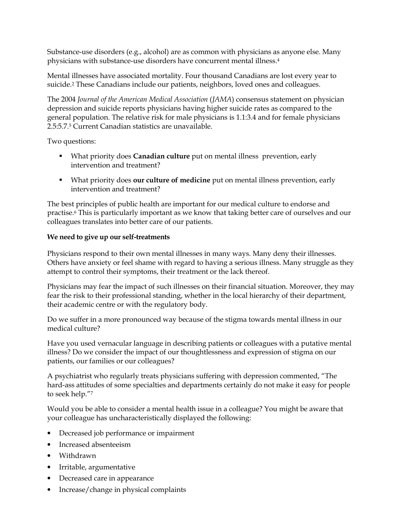Substance-use disorders (e.g., alcohol) are as common with physicians as anyone else. Many physicians with substance-use disorders have concurrent mental illness.<sup>4</sup>

Mental illnesses have associated mortality. Four thousand Canadians are lost every year to suicide.<sup>2</sup> These Canadians include our patients, neighbors, loved ones and colleagues.

The 2004 Journal of the American Medical Association (JAMA) consensus statement on physician depression and suicide reports physicians having higher suicide rates as compared to the general population. The relative risk for male physicians is 1.1:3.4 and for female physicians 2.5:5.7.<sup>5</sup> Current Canadian statistics are unavailable.

Two questions:

- What priority does **Canadian culture** put on mental illness prevention, early intervention and treatment?
- What priority does our culture of medicine put on mental illness prevention, early intervention and treatment?

The best principles of public health are important for our medical culture to endorse and practise.<sup>6</sup> This is particularly important as we know that taking better care of ourselves and our colleagues translates into better care of our patients.

### We need to give up our self-treatments

Physicians respond to their own mental illnesses in many ways. Many deny their illnesses. Others have anxiety or feel shame with regard to having a serious illness. Many struggle as they attempt to control their symptoms, their treatment or the lack thereof.

Physicians may fear the impact of such illnesses on their financial situation. Moreover, they may fear the risk to their professional standing, whether in the local hierarchy of their department, their academic centre or with the regulatory body.

Do we suffer in a more pronounced way because of the stigma towards mental illness in our medical culture?

Have you used vernacular language in describing patients or colleagues with a putative mental illness? Do we consider the impact of our thoughtlessness and expression of stigma on our patients, our families or our colleagues?

A psychiatrist who regularly treats physicians suffering with depression commented, "The hard-ass attitudes of some specialties and departments certainly do not make it easy for people to seek help."7

Would you be able to consider a mental health issue in a colleague? You might be aware that your colleague has uncharacteristically displayed the following:

- Decreased job performance or impairment
- Increased absenteeism
- Withdrawn
- Irritable, argumentative
- Decreased care in appearance
- $\bullet$ Increase/change in physical complaints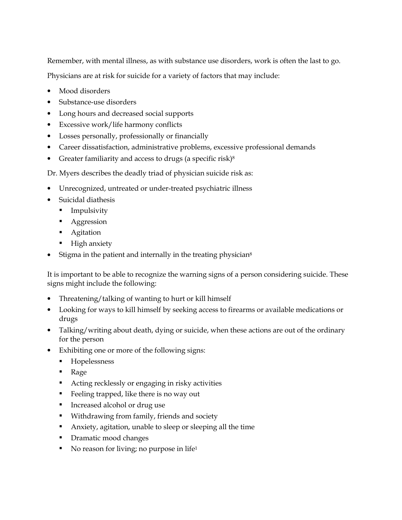Remember, with mental illness, as with substance use disorders, work is often the last to go. Physicians are at risk for suicide for a variety of factors that may include:

- Mood disorders
- Substance-use disorders
- Long hours and decreased social supports
- Excessive work/life harmony conflicts
- Losses personally, professionally or financially
- Career dissatisfaction, administrative problems, excessive professional demands
- Greater familiarity and access to drugs (a specific risk) $8$

Dr. Myers describes the deadly triad of physician suicide risk as:

- Unrecognized, untreated or under-treated psychiatric illness
- Suicidal diathesis
	- Impulsivity н.
	- Aggression
	- Agitation
	- High anxiety
- Stigma in the patient and internally in the treating physician<sup>8</sup>

It is important to be able to recognize the warning signs of a person considering suicide. These signs might include the following:

- Threatening/talking of wanting to hurt or kill himself
- Looking for ways to kill himself by seeking access to firearms or available medications or drugs
- Talking/writing about death, dying or suicide, when these actions are out of the ordinary for the person
- Exhibiting one or more of the following signs:
	- Hopelessness  $\mathbf{r}$
	- $\blacksquare$ Rage
	- Acting recklessly or engaging in risky activities
	- Feeling trapped, like there is no way out
	- Increased alcohol or drug use
	- " Withdrawing from family, friends and society
	- Anxiety, agitation, unable to sleep or sleeping all the time
	- Dramatic mood changes
	- No reason for living; no purpose in life<sup>1</sup>